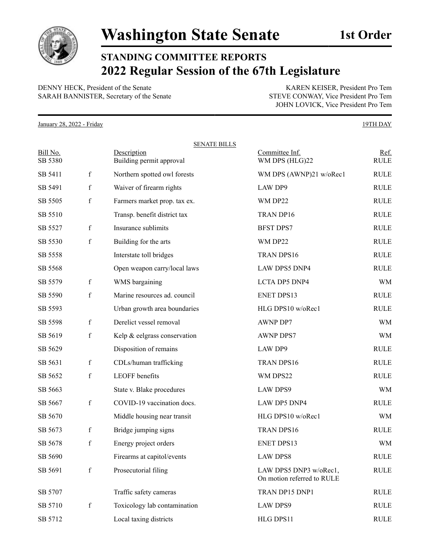

## **STANDING COMMITTEE REPORTS 2022 Regular Session of the 67th Legislature**

DENNY HECK, President of the Senate KAREN KEISER, President Pro Tem SARAH BANNISTER, Secretary of the Senate STEVE CONWAY, Vice President Pro Tem

JOHN LOVICK, Vice President Pro Tem

January 28, 2022 - Friday 19TH DAY

|                     |             | <b>SENATE BILLS</b>                     |                                                      |                     |
|---------------------|-------------|-----------------------------------------|------------------------------------------------------|---------------------|
| Bill No.<br>SB 5380 |             | Description<br>Building permit approval | Committee Inf.<br>WM DPS (HLG)22                     | Ref.<br><b>RULE</b> |
| SB 5411             | $\mathbf f$ | Northern spotted owl forests            | WM DPS (AWNP)21 w/oRec1                              | <b>RULE</b>         |
| SB 5491             | $\mathbf f$ | Waiver of firearm rights                | <b>LAW DP9</b>                                       | <b>RULE</b>         |
| SB 5505             | $\mathbf f$ | Farmers market prop. tax ex.            | WM DP22                                              | <b>RULE</b>         |
| SB 5510             |             | Transp. benefit district tax            | TRAN DP16                                            | <b>RULE</b>         |
| SB 5527             | $\mathbf f$ | Insurance sublimits                     | <b>BFST DPS7</b>                                     | <b>RULE</b>         |
| SB 5530             | $\mathbf f$ | Building for the arts                   | WM DP22                                              | <b>RULE</b>         |
| SB 5558             |             | Interstate toll bridges                 | TRAN DPS16                                           | <b>RULE</b>         |
| SB 5568             |             | Open weapon carry/local laws            | <b>LAW DPS5 DNP4</b>                                 | <b>RULE</b>         |
| SB 5579             | $\mathbf f$ | WMS bargaining                          | LCTA DP5 DNP4                                        | <b>WM</b>           |
| SB 5590             | $\mathbf f$ | Marine resources ad. council            | <b>ENET DPS13</b>                                    | <b>RULE</b>         |
| SB 5593             |             | Urban growth area boundaries            | HLG DPS10 w/oRec1                                    | <b>RULE</b>         |
| SB 5598             | $\mathbf f$ | Derelict vessel removal                 | AWNP DP7                                             | WM                  |
| SB 5619             | $\mathbf f$ | Kelp & eelgrass conservation            | <b>AWNP DPS7</b>                                     | WM                  |
| SB 5629             |             | Disposition of remains                  | LAW DP9                                              | <b>RULE</b>         |
| SB 5631             | $\mathbf f$ | CDLs/human trafficking                  | TRAN DPS16                                           | <b>RULE</b>         |
| SB 5652             | $\mathbf f$ | LEOFF benefits                          | WM DPS22                                             | <b>RULE</b>         |
| SB 5663             |             | State v. Blake procedures               | <b>LAW DPS9</b>                                      | WM                  |
| SB 5667             | $\mathbf f$ | COVID-19 vaccination docs.              | LAW DP5 DNP4                                         | <b>RULE</b>         |
| SB 5670             |             | Middle housing near transit             | HLG DPS10 w/oRec1                                    | <b>WM</b>           |
| SB 5673             | $\mathbf f$ | Bridge jumping signs                    | TRAN DPS16                                           | <b>RULE</b>         |
| SB 5678             | f           | Energy project orders                   | <b>ENET DPS13</b>                                    | <b>WM</b>           |
| SB 5690             |             | Firearms at capitol/events              | <b>LAW DPS8</b>                                      | <b>RULE</b>         |
| SB 5691             | $\mathbf f$ | Prosecutorial filing                    | LAW DPS5 DNP3 w/oRec1,<br>On motion referred to RULE | <b>RULE</b>         |
| SB 5707             |             | Traffic safety cameras                  | TRAN DP15 DNP1                                       | <b>RULE</b>         |
| SB 5710             | $\mathbf f$ | Toxicology lab contamination            | <b>LAW DPS9</b>                                      | <b>RULE</b>         |
| SB 5712             |             | Local taxing districts                  | HLG DPS11                                            | RULE                |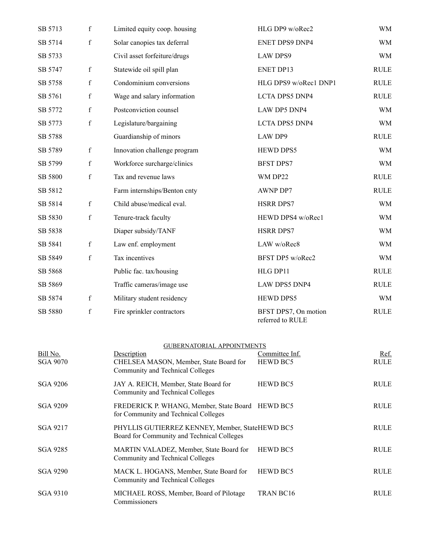| SB 5713 | $\mathbf f$ | Limited equity coop. housing | HLG DP9 w/oRec2                          | <b>WM</b>   |
|---------|-------------|------------------------------|------------------------------------------|-------------|
| SB 5714 | $\mathbf f$ | Solar canopies tax deferral  | <b>ENET DPS9 DNP4</b>                    | <b>WM</b>   |
| SB 5733 |             | Civil asset forfeiture/drugs | <b>LAW DPS9</b>                          | <b>WM</b>   |
| SB 5747 | $\mathbf f$ | Statewide oil spill plan     | <b>ENET DP13</b>                         | <b>RULE</b> |
| SB 5758 | $\mathbf f$ | Condominium conversions      | HLG DPS9 w/oRec1 DNP1                    | <b>RULE</b> |
| SB 5761 | $\mathbf f$ | Wage and salary information  | <b>LCTA DPS5 DNP4</b>                    | <b>RULE</b> |
| SB 5772 | $\mathbf f$ | Postconviction counsel       | LAW DP5 DNP4                             | <b>WM</b>   |
| SB 5773 | $\mathbf f$ | Legislature/bargaining       | LCTA DPS5 DNP4                           | <b>WM</b>   |
| SB 5788 |             | Guardianship of minors       | <b>LAW DP9</b>                           | <b>RULE</b> |
| SB 5789 | $\mathbf f$ | Innovation challenge program | HEWD DPS5                                | <b>WM</b>   |
| SB 5799 | $\mathbf f$ | Workforce surcharge/clinics  | <b>BFST DPS7</b>                         | <b>WM</b>   |
| SB 5800 | $\mathbf f$ | Tax and revenue laws         | WM DP22                                  | <b>RULE</b> |
| SB 5812 |             | Farm internships/Benton cnty | <b>AWNP DP7</b>                          | <b>RULE</b> |
| SB 5814 | $\mathbf f$ | Child abuse/medical eval.    | <b>HSRR DPS7</b>                         | <b>WM</b>   |
| SB 5830 | $\mathbf f$ | Tenure-track faculty         | HEWD DPS4 w/oRec1                        | <b>WM</b>   |
| SB 5838 |             | Diaper subsidy/TANF          | <b>HSRR DPS7</b>                         | <b>WM</b>   |
| SB 5841 | f           | Law enf. employment          | LAW w/oRec8                              | <b>WM</b>   |
| SB 5849 | $\mathbf f$ | Tax incentives               | BFST DP5 w/oRec2                         | <b>WM</b>   |
| SB 5868 |             | Public fac. tax/housing      | HLG DP11                                 | <b>RULE</b> |
| SB 5869 |             | Traffic cameras/image use    | LAW DPS5 DNP4                            | <b>RULE</b> |
| SB 5874 | $\mathbf f$ | Military student residency   | HEWD DPS5                                | <b>WM</b>   |
| SB 5880 | $\mathbf f$ | Fire sprinkler contractors   | BFST DPS7, On motion<br>referred to RULE | <b>RULE</b> |

| Bill No.<br>SGA 9070 | Description<br>CHELSEA MASON, Member, State Board for<br>Community and Technical Colleges     | Committee Inf.<br><b>HEWD BC5</b> | Ref.<br><b>RULE</b> |
|----------------------|-----------------------------------------------------------------------------------------------|-----------------------------------|---------------------|
| SGA 9206             | JAY A. REICH, Member, State Board for<br>Community and Technical Colleges                     | <b>HEWD BC5</b>                   | RULE                |
| <b>SGA 9209</b>      | FREDERICK P. WHANG, Member, State Board HEWD BC5<br>for Community and Technical Colleges      |                                   | RULE                |
| SGA 9217             | PHYLLIS GUTIERREZ KENNEY, Member, StateHEWD BC5<br>Board for Community and Technical Colleges |                                   | RULE                |
| SGA 9285             | MARTIN VALADEZ, Member, State Board for<br>Community and Technical Colleges                   | <b>HEWD BC5</b>                   | RULE                |
| <b>SGA 9290</b>      | MACK L. HOGANS, Member, State Board for<br>Community and Technical Colleges                   | <b>HEWD BC5</b>                   | RULE                |
| SGA 9310             | MICHAEL ROSS, Member, Board of Pilotage<br>Commissioners                                      | <b>TRAN BC16</b>                  | <b>RULE</b>         |